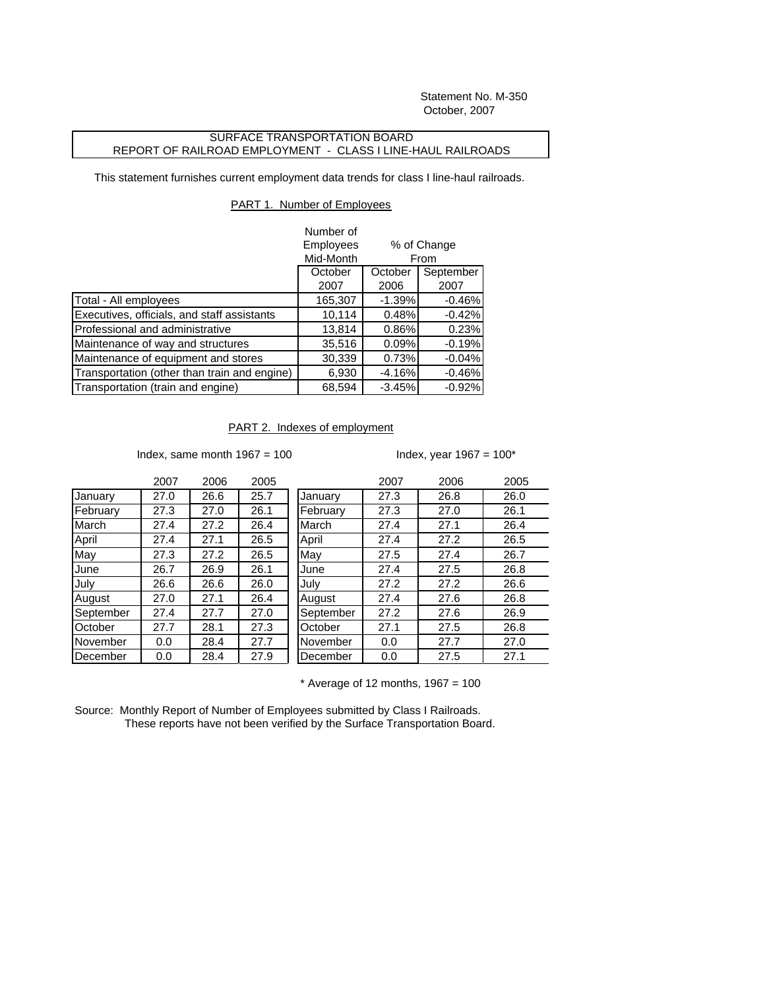Statement No. M-350 October, 2007

## SURFACE TRANSPORTATION BOARD REPORT OF RAILROAD EMPLOYMENT - CLASS I LINE-HAUL RAILROADS

This statement furnishes current employment data trends for class I line-haul railroads.

## PART 1. Number of Employees

|                                              | Number of |                     |           |
|----------------------------------------------|-----------|---------------------|-----------|
|                                              | Employees | % of Change<br>From |           |
|                                              | Mid-Month |                     |           |
|                                              | October   | October             | September |
|                                              | 2007      | 2006                | 2007      |
| Total - All employees                        | 165,307   | $-1.39%$            | $-0.46%$  |
| Executives, officials, and staff assistants  | 10,114    | 0.48%               | $-0.42%$  |
| Professional and administrative              | 13,814    | 0.86%               | 0.23%     |
| Maintenance of way and structures            | 35,516    | 0.09%               | $-0.19%$  |
| Maintenance of equipment and stores          | 30,339    | 0.73%               | $-0.04%$  |
| Transportation (other than train and engine) | 6,930     | $-4.16%$            | $-0.46%$  |
| Transportation (train and engine)            | 68,594    | $-3.45%$            | $-0.92%$  |

## PART 2. Indexes of employment

Index, same month  $1967 = 100$  Index, year  $1967 = 100$ \*

|           | 2007 | 2006 | 2005 |
|-----------|------|------|------|
| January   | 27.0 | 26.6 | 25.7 |
| February  | 27.3 | 27.0 | 26.1 |
| March     | 27.4 | 27.2 | 26.4 |
| April     | 27.4 | 27.1 | 26.5 |
| May       | 27.3 | 27.2 | 26.5 |
| June      | 26.7 | 26.9 | 26.1 |
| July      | 26.6 | 26.6 | 26.0 |
| August    | 27.0 | 27.1 | 26.4 |
| September | 27.4 | 27.7 | 27.0 |
| October   | 27.7 | 28.1 | 27.3 |
| November  | 0.0  | 28.4 | 27.7 |
| December  | 0.0  | 28.4 | 27.9 |

|           | 2007 | 2006 | 2005 |           | 2007 | 2006 | 2005 |
|-----------|------|------|------|-----------|------|------|------|
| January   | 27.0 | 26.6 | 25.7 | January   | 27.3 | 26.8 | 26.0 |
| February  | 27.3 | 27.0 | 26.1 | February  | 27.3 | 27.0 | 26.1 |
| March     | 27.4 | 27.2 | 26.4 | March     | 27.4 | 27.1 | 26.4 |
| April     | 27.4 | 27.1 | 26.5 | April     | 27.4 | 27.2 | 26.5 |
| May       | 27.3 | 27.2 | 26.5 | May       | 27.5 | 27.4 | 26.7 |
| June      | 26.7 | 26.9 | 26.1 | June      | 27.4 | 27.5 | 26.8 |
| July      | 26.6 | 26.6 | 26.0 | July      | 27.2 | 27.2 | 26.6 |
| August    | 27.0 | 27.1 | 26.4 | August    | 27.4 | 27.6 | 26.8 |
| September | 27.4 | 27.7 | 27.0 | September | 27.2 | 27.6 | 26.9 |
| October   | 27.7 | 28.1 | 27.3 | October   | 27.1 | 27.5 | 26.8 |
| November  | 0.0  | 28.4 | 27.7 | November  | 0.0  | 27.7 | 27.0 |
| December  | 0.0  | 28.4 | 27.9 | December  | 0.0  | 27.5 | 27.1 |
|           |      |      |      |           |      |      |      |

 $*$  Average of 12 months, 1967 = 100

Source: Monthly Report of Number of Employees submitted by Class I Railroads. These reports have not been verified by the Surface Transportation Board.